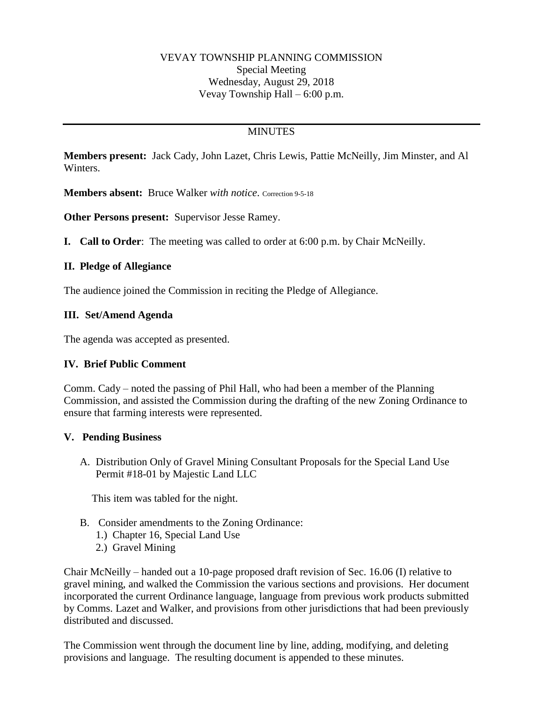### VEVAY TOWNSHIP PLANNING COMMISSION Special Meeting Wednesday, August 29, 2018 Vevay Township Hall – 6:00 p.m.

# **MINUTES**

**Members present:** Jack Cady, John Lazet, Chris Lewis, Pattie McNeilly, Jim Minster, and Al Winters.

**Members absent:** Bruce Walker *with notice*. Correction 9-5-18

**Other Persons present:** Supervisor Jesse Ramey.

**I. Call to Order**: The meeting was called to order at 6:00 p.m. by Chair McNeilly.

### **II. Pledge of Allegiance**

The audience joined the Commission in reciting the Pledge of Allegiance.

#### **III. Set/Amend Agenda**

The agenda was accepted as presented.

#### **IV. Brief Public Comment**

Comm. Cady – noted the passing of Phil Hall, who had been a member of the Planning Commission, and assisted the Commission during the drafting of the new Zoning Ordinance to ensure that farming interests were represented.

#### **V. Pending Business**

A. Distribution Only of Gravel Mining Consultant Proposals for the Special Land Use Permit #18-01 by Majestic Land LLC

This item was tabled for the night.

- B. Consider amendments to the Zoning Ordinance:
	- 1.) Chapter 16, Special Land Use
	- 2.) Gravel Mining

Chair McNeilly – handed out a 10-page proposed draft revision of Sec. 16.06 (I) relative to gravel mining, and walked the Commission the various sections and provisions. Her document incorporated the current Ordinance language, language from previous work products submitted by Comms. Lazet and Walker, and provisions from other jurisdictions that had been previously distributed and discussed.

The Commission went through the document line by line, adding, modifying, and deleting provisions and language. The resulting document is appended to these minutes.